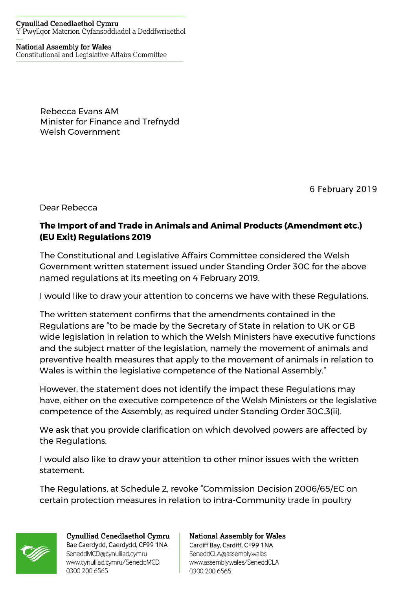## **Cynulliad Cenedlaethol Cymru** Y Pwyllgor Materion Cyfansoddiadol a Deddfwriaethol

## **National Assembly for Wales**

Constitutional and Legislative Affairs Committee

Rebecca Evans AM Minister for Finance and Trefnydd Welsh Government

6 February 2019

Dear Rebecca

## **The Import of and Trade in Animals and Animal Products (Amendment etc.) (EU Exit) Regulations 2019**

The Constitutional and Legislative Affairs Committee considered the Welsh Government written statement issued under Standing Order 30C for the above named regulations at its meeting on 4 February 2019.

I would like to draw your attention to concerns we have with these Regulations.

The written statement confirms that the amendments contained in the Regulations are "to be made by the Secretary of State in relation to UK or GB wide legislation in relation to which the Welsh Ministers have executive functions and the subject matter of the legislation, namely the movement of animals and preventive health measures that apply to the movement of animals in relation to Wales is within the legislative competence of the National Assembly."

However, the statement does not identify the impact these Regulations may have, either on the executive competence of the Welsh Ministers or the legislative competence of the Assembly, as required under Standing Order 30C.3(ii).

We ask that you provide clarification on which devolved powers are affected by the Regulations.

I would also like to draw your attention to other minor issues with the written statement.

The Regulations, at Schedule 2, revoke "Commission Decision 2006/65/EC on certain protection measures in relation to intra-Community trade in poultry



Cynulliad Cenedlaethol Cymru Bae Caerdydd, Caerdydd, CF99 1NA SeneddMCD@cynulliad.cymru www.cynulliad.cymru/SeneddMCD 0300 200 6565

**National Assembly for Wales** Cardiff Bay, Cardiff, CF99 1NA SeneddCLA@assembly.wales www.assembly.wales/SeneddCLA 0300 200 6565